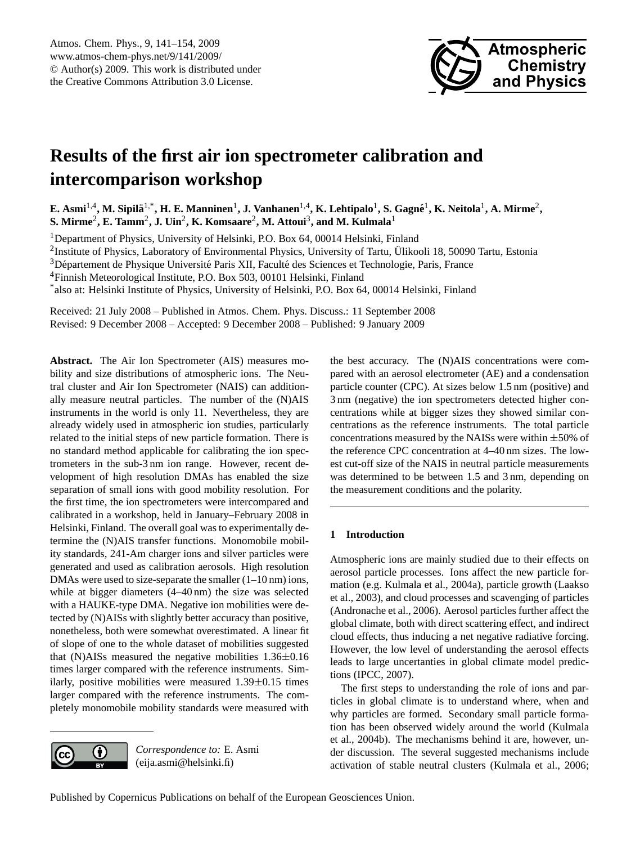

# <span id="page-0-0"></span>**Results of the first air ion spectrometer calibration and intercomparison workshop**

 $E$ . Asmi<sup>1,4</sup>, M. Sipilä<sup>1,\*</sup>, H. E. Manninen<sup>1</sup>, J. Vanhanen<sup>1,4</sup>, K. Lehtipalo<sup>1</sup>, S. Gagné<sup>1</sup>, K. Neitola<sup>1</sup>, A. Mirme<sup>2</sup>,  ${\bf S. Mirme^2, E. Tamm^2, J. Uni^2, K. Komsaare^2, M. Attoui^3, and M. Kulmala<sup>1</sup>$ 

<sup>1</sup>Department of Physics, University of Helsinki, P.O. Box 64, 00014 Helsinki, Finland

<sup>2</sup>Institute of Physics, Laboratory of Environmental Physics, University of Tartu, Ülikooli 18, 50090 Tartu, Estonia

 $3$ Département de Physique Université Paris XII, Faculté des Sciences et Technologie, Paris, France

<sup>4</sup>Finnish Meteorological Institute, P.O. Box 503, 00101 Helsinki, Finland

\* also at: Helsinki Institute of Physics, University of Helsinki, P.O. Box 64, 00014 Helsinki, Finland

Received: 21 July 2008 – Published in Atmos. Chem. Phys. Discuss.: 11 September 2008 Revised: 9 December 2008 – Accepted: 9 December 2008 – Published: 9 January 2009

**Abstract.** The Air Ion Spectrometer (AIS) measures mobility and size distributions of atmospheric ions. The Neutral cluster and Air Ion Spectrometer (NAIS) can additionally measure neutral particles. The number of the (N)AIS instruments in the world is only 11. Nevertheless, they are already widely used in atmospheric ion studies, particularly related to the initial steps of new particle formation. There is no standard method applicable for calibrating the ion spectrometers in the sub-3 nm ion range. However, recent development of high resolution DMAs has enabled the size separation of small ions with good mobility resolution. For the first time, the ion spectrometers were intercompared and calibrated in a workshop, held in January–February 2008 in Helsinki, Finland. The overall goal was to experimentally determine the (N)AIS transfer functions. Monomobile mobility standards, 241-Am charger ions and silver particles were generated and used as calibration aerosols. High resolution DMAs were used to size-separate the smaller  $(1-10 \text{ nm})$  ions, while at bigger diameters (4–40 nm) the size was selected with a HAUKE-type DMA. Negative ion mobilities were detected by (N)AISs with slightly better accuracy than positive, nonetheless, both were somewhat overestimated. A linear fit of slope of one to the whole dataset of mobilities suggested that (N)AISs measured the negative mobilities  $1.36\pm0.16$ times larger compared with the reference instruments. Similarly, positive mobilities were measured  $1.39 \pm 0.15$  times larger compared with the reference instruments. The completely monomobile mobility standards were measured with



*Correspondence to:* E. Asmi (eija.asmi@helsinki.fi)

the best accuracy. The (N)AIS concentrations were compared with an aerosol electrometer (AE) and a condensation particle counter (CPC). At sizes below 1.5 nm (positive) and 3 nm (negative) the ion spectrometers detected higher concentrations while at bigger sizes they showed similar concentrations as the reference instruments. The total particle concentrations measured by the NAISs were within  $\pm$ 50% of the reference CPC concentration at 4–40 nm sizes. The lowest cut-off size of the NAIS in neutral particle measurements was determined to be between 1.5 and 3 nm, depending on the measurement conditions and the polarity.

# **1 Introduction**

Atmospheric ions are mainly studied due to their effects on aerosol particle processes. Ions affect the new particle formation (e.g. [Kulmala et al.,](#page-12-0) [2004a\)](#page-12-0), particle growth [\(Laakso](#page-13-0) [et al.,](#page-13-0) [2003\)](#page-13-0), and cloud processes and scavenging of particles [\(Andronache et al.,](#page-12-1) [2006\)](#page-12-1). Aerosol particles further affect the global climate, both with direct scattering effect, and indirect cloud effects, thus inducing a net negative radiative forcing. However, the low level of understanding the aerosol effects leads to large uncertanties in global climate model predictions [\(IPCC,](#page-12-2) [2007\)](#page-12-2).

The first steps to understanding the role of ions and particles in global climate is to understand where, when and why particles are formed. Secondary small particle formation has been observed widely around the world [\(Kulmala](#page-12-3) [et al.,](#page-12-3) [2004b\)](#page-12-3). The mechanisms behind it are, however, under discussion. The several suggested mechanisms include activation of stable neutral clusters [\(Kulmala et al.,](#page-12-4) [2006;](#page-12-4)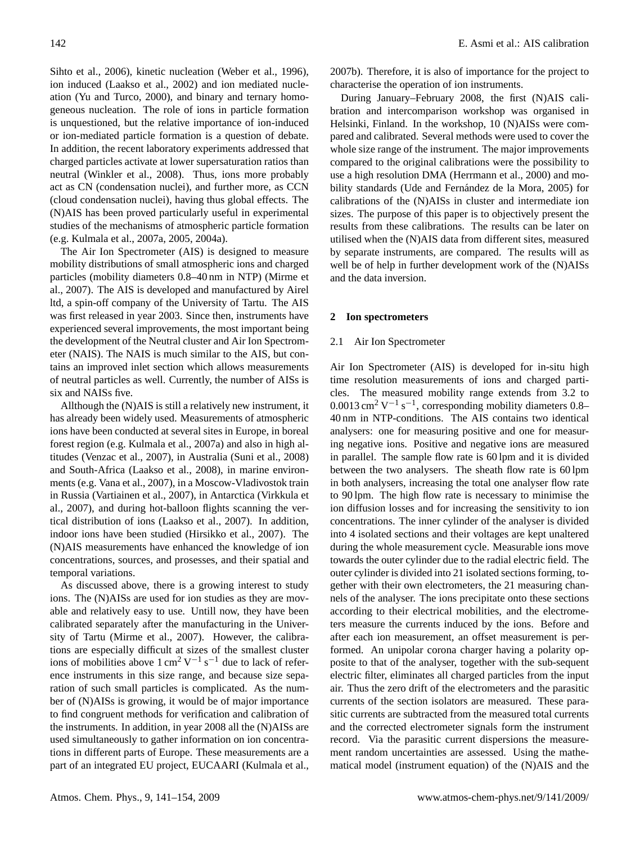[Sihto et al.,](#page-13-1) [2006\)](#page-13-1), kinetic nucleation [\(Weber et al.,](#page-13-2) [1996\)](#page-13-2), ion induced [\(Laakso et al.,](#page-13-3) [2002\)](#page-13-3) and ion mediated nucleation [\(Yu and Turco,](#page-13-4) [2000\)](#page-13-4), and binary and ternary homogeneous nucleation. The role of ions in particle formation is unquestioned, but the relative importance of ion-induced or ion-mediated particle formation is a question of debate. In addition, the recent laboratory experiments addressed that charged particles activate at lower supersaturation ratios than neutral [\(Winkler et al.,](#page-13-5) [2008\)](#page-13-5). Thus, ions more probably act as CN (condensation nuclei), and further more, as CCN (cloud condensation nuclei), having thus global effects. The (N)AIS has been proved particularly useful in experimental studies of the mechanisms of atmospheric particle formation (e.g. [Kulmala et al.,](#page-12-5) [2007a,](#page-12-5) [2005,](#page-12-6) [2004a\)](#page-12-0).

The Air Ion Spectrometer (AIS) is designed to measure mobility distributions of small atmospheric ions and charged particles (mobility diameters 0.8–40 nm in NTP) [\(Mirme et](#page-13-6) [al.,](#page-13-6) [2007\)](#page-13-6). The AIS is developed and manufactured by Airel ltd, a spin-off company of the University of Tartu. The AIS was first released in year 2003. Since then, instruments have experienced several improvements, the most important being the development of the Neutral cluster and Air Ion Spectrometer (NAIS). The NAIS is much similar to the AIS, but contains an improved inlet section which allows measurements of neutral particles as well. Currently, the number of AISs is six and NAISs five.

Allthough the (N)AIS is still a relatively new instrument, it has already been widely used. Measurements of atmospheric ions have been conducted at several sites in Europe, in boreal forest region (e.g. [Kulmala et al.,](#page-12-5) [2007a\)](#page-12-5) and also in high altitudes [\(Venzac et al.,](#page-13-7) [2007\)](#page-13-7), in Australia [\(Suni et al.,](#page-13-8) [2008\)](#page-13-8) and South-Africa [\(Laakso et al.,](#page-12-7) [2008\)](#page-12-7), in marine environments (e.g. [Vana et al.,](#page-13-9) [2007\)](#page-13-9), in a Moscow-Vladivostok train in Russia [\(Vartiainen et al.,](#page-13-10) [2007\)](#page-13-10), in Antarctica [\(Virkkula et](#page-13-11) [al.,](#page-13-11) [2007\)](#page-13-11), and during hot-balloon flights scanning the vertical distribution of ions [\(Laakso et al.,](#page-13-12) [2007\)](#page-13-12). In addition, indoor ions have been studied [\(Hirsikko et al.,](#page-12-8) [2007\)](#page-12-8). The (N)AIS measurements have enhanced the knowledge of ion concentrations, sources, and prosesses, and their spatial and temporal variations.

As discussed above, there is a growing interest to study ions. The (N)AISs are used for ion studies as they are movable and relatively easy to use. Untill now, they have been calibrated separately after the manufacturing in the University of Tartu [\(Mirme et al.,](#page-13-6) [2007\)](#page-13-6). However, the calibrations are especially difficult at sizes of the smallest cluster ions of mobilities above  $1 \text{ cm}^2 \text{ V}^{-1} \text{ s}^{-1}$  due to lack of reference instruments in this size range, and because size separation of such small particles is complicated. As the number of (N)AISs is growing, it would be of major importance to find congruent methods for verification and calibration of the instruments. In addition, in year 2008 all the (N)AISs are used simultaneously to gather information on ion concentrations in different parts of Europe. These measurements are a part of an integrated EU project, EUCAARI [\(Kulmala et al.,](#page-12-9) [2007b\)](#page-12-9). Therefore, it is also of importance for the project to characterise the operation of ion instruments.

During January–February 2008, the first (N)AIS calibration and intercomparison workshop was organised in Helsinki, Finland. In the workshop, 10 (N)AISs were compared and calibrated. Several methods were used to cover the whole size range of the instrument. The major improvements compared to the original calibrations were the possibility to use a high resolution DMA [\(Herrmann et al.,](#page-12-10) [2000\)](#page-12-10) and mo-bility standards (Ude and Fernández de la Mora, [2005\)](#page-13-13) for calibrations of the (N)AISs in cluster and intermediate ion sizes. The purpose of this paper is to objectively present the results from these calibrations. The results can be later on utilised when the (N)AIS data from different sites, measured by separate instruments, are compared. The results will as well be of help in further development work of the (N)AISs and the data inversion.

#### **2 Ion spectrometers**

#### 2.1 Air Ion Spectrometer

Air Ion Spectrometer (AIS) is developed for in-situ high time resolution measurements of ions and charged particles. The measured mobility range extends from 3.2 to  $0.0013$  cm<sup>2</sup> V<sup>-1</sup> s<sup>-1</sup>, corresponding mobility diameters 0.8-40 nm in NTP-conditions. The AIS contains two identical analysers: one for measuring positive and one for measuring negative ions. Positive and negative ions are measured in parallel. The sample flow rate is 60 lpm and it is divided between the two analysers. The sheath flow rate is 60 lpm in both analysers, increasing the total one analyser flow rate to 90 lpm. The high flow rate is necessary to minimise the ion diffusion losses and for increasing the sensitivity to ion concentrations. The inner cylinder of the analyser is divided into 4 isolated sections and their voltages are kept unaltered during the whole measurement cycle. Measurable ions move towards the outer cylinder due to the radial electric field. The outer cylinder is divided into 21 isolated sections forming, together with their own electrometers, the 21 measuring channels of the analyser. The ions precipitate onto these sections according to their electrical mobilities, and the electrometers measure the currents induced by the ions. Before and after each ion measurement, an offset measurement is performed. An unipolar corona charger having a polarity opposite to that of the analyser, together with the sub-sequent electric filter, eliminates all charged particles from the input air. Thus the zero drift of the electrometers and the parasitic currents of the section isolators are measured. These parasitic currents are subtracted from the measured total currents and the corrected electrometer signals form the instrument record. Via the parasitic current dispersions the measurement random uncertainties are assessed. Using the mathematical model (instrument equation) of the (N)AIS and the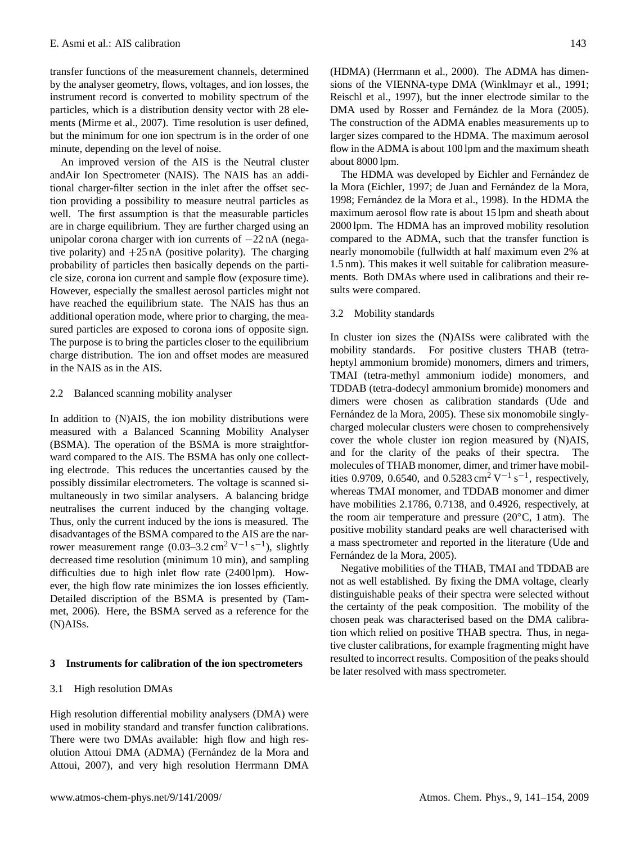transfer functions of the measurement channels, determined by the analyser geometry, flows, voltages, and ion losses, the instrument record is converted to mobility spectrum of the particles, which is a distribution density vector with 28 elements [\(Mirme et al.,](#page-13-6) [2007\)](#page-13-6). Time resolution is user defined, but the minimum for one ion spectrum is in the order of one minute, depending on the level of noise.

An improved version of the AIS is the Neutral cluster andAir Ion Spectrometer (NAIS). The NAIS has an additional charger-filter section in the inlet after the offset section providing a possibility to measure neutral particles as well. The first assumption is that the measurable particles are in charge equilibrium. They are further charged using an unipolar corona charger with ion currents of −22 nA (negative polarity) and  $+25$  nA (positive polarity). The charging probability of particles then basically depends on the particle size, corona ion current and sample flow (exposure time). However, especially the smallest aerosol particles might not have reached the equilibrium state. The NAIS has thus an additional operation mode, where prior to charging, the measured particles are exposed to corona ions of opposite sign. The purpose is to bring the particles closer to the equilibrium charge distribution. The ion and offset modes are measured in the NAIS as in the AIS.

#### 2.2 Balanced scanning mobility analyser

In addition to (N)AIS, the ion mobility distributions were measured with a Balanced Scanning Mobility Analyser (BSMA). The operation of the BSMA is more straightforward compared to the AIS. The BSMA has only one collecting electrode. This reduces the uncertanties caused by the possibly dissimilar electrometers. The voltage is scanned simultaneously in two similar analysers. A balancing bridge neutralises the current induced by the changing voltage. Thus, only the current induced by the ions is measured. The disadvantages of the BSMA compared to the AIS are the narrower measurement range  $(0.03-3.2 \text{ cm}^2 \text{ V}^{-1} \text{ s}^{-1})$ , slightly decreased time resolution (minimum 10 min), and sampling difficulties due to high inlet flow rate (2400 lpm). However, the high flow rate minimizes the ion losses efficiently. Detailed discription of the BSMA is presented by [\(Tam](#page-13-14)[met,](#page-13-14) [2006\)](#page-13-14). Here, the BSMA served as a reference for the (N)AISs.

#### **3 Instruments for calibration of the ion spectrometers**

## 3.1 High resolution DMAs

High resolution differential mobility analysers (DMA) were used in mobility standard and transfer function calibrations. There were two DMAs available: high flow and high resolution Attoui DMA (ADMA) (Fernández de la Mora and [Attoui,](#page-12-11) [2007\)](#page-12-11), and very high resolution Herrmann DMA (HDMA) [\(Herrmann et al.,](#page-12-10) [2000\)](#page-12-10). The ADMA has dimensions of the VIENNA-type DMA [\(Winklmayr et al.,](#page-13-15) [1991;](#page-13-15) [Reischl et al.,](#page-13-16) [1997\)](#page-13-16), but the inner electrode similar to the DMA used by Rosser and Fernández de la Mora [\(2005\)](#page-13-17). The construction of the ADMA enables measurements up to larger sizes compared to the HDMA. The maximum aerosol flow in the ADMA is about 100 lpm and the maximum sheath about 8000 lpm.

The HDMA was developed by Eichler and Fernández de la Mora [\(Eichler,](#page-12-12) [1997;](#page-12-12) de Juan and Fernández de la Mora, [1998;](#page-12-13) Fernández de la Mora et al., [1998\)](#page-12-14). In the HDMA the maximum aerosol flow rate is about 15 lpm and sheath about 2000 lpm. The HDMA has an improved mobility resolution compared to the ADMA, such that the transfer function is nearly monomobile (fullwidth at half maximum even 2% at 1.5 nm). This makes it well suitable for calibration measurements. Both DMAs where used in calibrations and their results were compared.

#### 3.2 Mobility standards

In cluster ion sizes the (N)AISs were calibrated with the mobility standards. For positive clusters THAB (tetraheptyl ammonium bromide) monomers, dimers and trimers, TMAI (tetra-methyl ammonium iodide) monomers, and TDDAB (tetra-dodecyl ammonium bromide) monomers and dimers were chosen as calibration standards [\(Ude and](#page-13-13) Fernández de la Mora, [2005\)](#page-13-13). These six monomobile singlycharged molecular clusters were chosen to comprehensively cover the whole cluster ion region measured by (N)AIS, and for the clarity of the peaks of their spectra. The molecules of THAB monomer, dimer, and trimer have mobilities 0.9709, 0.6540, and 0.5283 cm<sup>2</sup> V<sup>-1</sup> s<sup>-1</sup>, respectively, whereas TMAI monomer, and TDDAB monomer and dimer have mobilities 2.1786, 0.7138, and 0.4926, respectively, at the room air temperature and pressure ( $20^{\circ}$ C, 1 atm). The positive mobility standard peaks are well characterised with a mass spectrometer and reported in the literature [\(Ude and](#page-13-13) Fernández de la Mora, [2005\)](#page-13-13).

Negative mobilities of the THAB, TMAI and TDDAB are not as well established. By fixing the DMA voltage, clearly distinguishable peaks of their spectra were selected without the certainty of the peak composition. The mobility of the chosen peak was characterised based on the DMA calibration which relied on positive THAB spectra. Thus, in negative cluster calibrations, for example fragmenting might have resulted to incorrect results. Composition of the peaks should be later resolved with mass spectrometer.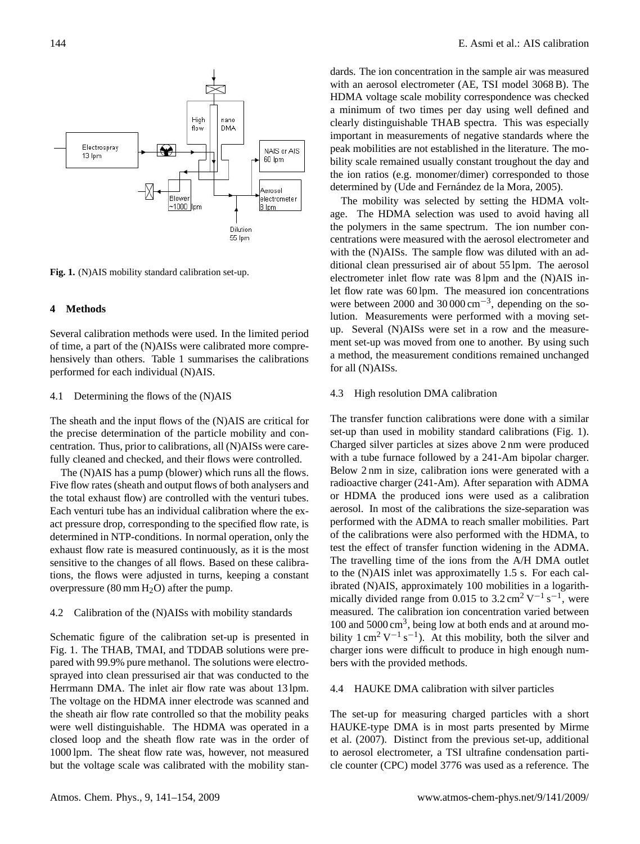

<span id="page-3-0"></span>Fig. 1. (N)AIS mobility standard calibration set-up.

## **4 Methods**

Several calibration methods were used. In the limited period of time, a part of the (N)AISs were calibrated more comprehensively than others. Table [1](#page-4-0) summarises the calibrations performed for each individual (N)AIS.

## 4.1 Determining the flows of the (N)AIS

The sheath and the input flows of the (N)AIS are critical for the precise determination of the particle mobility and concentration. Thus, prior to calibrations, all (N)AISs were carefully cleaned and checked, and their flows were controlled.

The (N)AIS has a pump (blower) which runs all the flows. Five flow rates (sheath and output flows of both analysers and the total exhaust flow) are controlled with the venturi tubes. Each venturi tube has an individual calibration where the exact pressure drop, corresponding to the specified flow rate, is determined in NTP-conditions. In normal operation, only the exhaust flow rate is measured continuously, as it is the most sensitive to the changes of all flows. Based on these calibrations, the flows were adjusted in turns, keeping a constant overpressure (80 mm  $H_2O$ ) after the pump.

## 4.2 Calibration of the (N)AISs with mobility standards

Schematic figure of the calibration set-up is presented in Fig. [1.](#page-3-0) The THAB, TMAI, and TDDAB solutions were prepared with 99.9% pure methanol. The solutions were electrosprayed into clean pressurised air that was conducted to the Herrmann DMA. The inlet air flow rate was about 13 lpm. The voltage on the HDMA inner electrode was scanned and the sheath air flow rate controlled so that the mobility peaks were well distinguishable. The HDMA was operated in a closed loop and the sheath flow rate was in the order of 1000 lpm. The sheat flow rate was, however, not measured but the voltage scale was calibrated with the mobility standards. The ion concentration in the sample air was measured with an aerosol electrometer (AE, TSI model 3068 B). The HDMA voltage scale mobility correspondence was checked a minimum of two times per day using well defined and clearly distinguishable THAB spectra. This was especially important in measurements of negative standards where the peak mobilities are not established in the literature. The mobility scale remained usually constant troughout the day and the ion ratios (e.g. monomer/dimer) corresponded to those determined by (Ude and Fernández de la Mora, [2005\)](#page-13-13).

The mobility was selected by setting the HDMA voltage. The HDMA selection was used to avoid having all the polymers in the same spectrum. The ion number concentrations were measured with the aerosol electrometer and with the (N)AISs. The sample flow was diluted with an additional clean pressurised air of about 55 lpm. The aerosol electrometer inlet flow rate was 8 lpm and the (N)AIS inlet flow rate was 60 lpm. The measured ion concentrations were between 2000 and 30 000 cm<sup>-3</sup>, depending on the solution. Measurements were performed with a moving setup. Several (N)AISs were set in a row and the measurement set-up was moved from one to another. By using such a method, the measurement conditions remained unchanged for all (N)AISs.

## 4.3 High resolution DMA calibration

The transfer function calibrations were done with a similar set-up than used in mobility standard calibrations (Fig. [1\)](#page-3-0). Charged silver particles at sizes above 2 nm were produced with a tube furnace followed by a 241-Am bipolar charger. Below 2 nm in size, calibration ions were generated with a radioactive charger (241-Am). After separation with ADMA or HDMA the produced ions were used as a calibration aerosol. In most of the calibrations the size-separation was performed with the ADMA to reach smaller mobilities. Part of the calibrations were also performed with the HDMA, to test the effect of transfer function widening in the ADMA. The travelling time of the ions from the A/H DMA outlet to the (N)AIS inlet was approximatelly 1.5 s. For each calibrated (N)AIS, approximately 100 mobilities in a logarithmically divided range from 0.015 to  $3.2 \text{ cm}^2 \text{ V}^{-1} \text{ s}^{-1}$ , were measured. The calibration ion concentration varied between 100 and 5000 cm<sup>3</sup>, being low at both ends and at around mobility  $1 \text{ cm}^2 \text{ V}^{-1} \text{ s}^{-1}$ ). At this mobility, both the silver and charger ions were difficult to produce in high enough numbers with the provided methods.

## 4.4 HAUKE DMA calibration with silver particles

The set-up for measuring charged particles with a short HAUKE-type DMA is in most parts presented by [Mirme](#page-13-6) [et al.](#page-13-6) [\(2007\)](#page-13-6). Distinct from the previous set-up, additional to aerosol electrometer, a TSI ultrafine condensation particle counter (CPC) model 3776 was used as a reference. The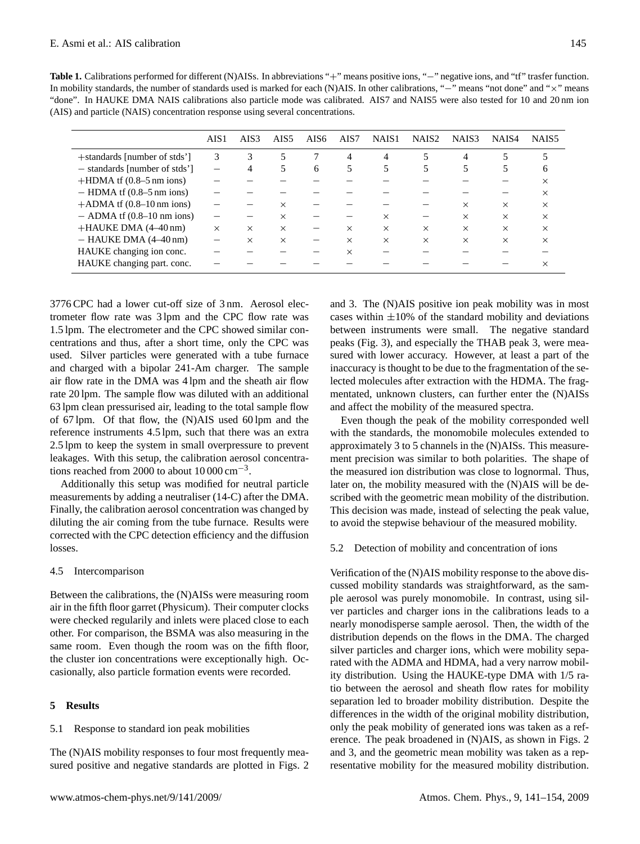<span id="page-4-0"></span>**Table 1.** Calibrations performed for different (N)AISs. In abbreviations "+" means positive ions, "−" negative ions, and "tf" trasfer function. In mobility standards, the number of standards used is marked for each (N)AIS. In other calibrations, "−" means "not done" and "×" means "done". In HAUKE DMA NAIS calibrations also particle mode was calibrated. AIS7 and NAIS5 were also tested for 10 and 20 nm ion (AIS) and particle (NAIS) concentration response using several concentrations.

|                                   | AIS1 | AIS <sub>3</sub> | AIS <sub>5</sub> | AIS6 | AIS7           | NAIS1          | NAIS <sub>2</sub> | NAIS <sub>3</sub> | NAIS4    | NAIS <sub>5</sub> |
|-----------------------------------|------|------------------|------------------|------|----------------|----------------|-------------------|-------------------|----------|-------------------|
| +standards [number of stds']      | 3    |                  |                  |      | $\overline{4}$ | $\overline{4}$ |                   |                   |          |                   |
| - standards [number of stds']     |      |                  | 5                | 6    | 5              | 5              | 5                 | 5                 |          | 6                 |
| $+HDMA$ if (0.8–5 nm ions)        |      |                  |                  |      |                |                |                   |                   |          | X                 |
| $-$ HDMA tf (0.8–5 nm ions)       |      |                  |                  |      |                |                |                   |                   |          | X                 |
| $+ADMA$ if (0.8–10 nm ions)       |      |                  | $\times$         |      |                |                |                   | $\times$          | $\times$ | $\times$          |
| $-$ ADMA tf (0.8–10 nm ions)      |      |                  | $\times$         |      |                | X              |                   | $\times$          | X        | X                 |
| $+$ HAUKE DMA $(4-40$ nm)         | X    | $\times$         | $\times$         |      | $\times$       | X              | $\times$          | $\times$          | X        | $\times$          |
| $-$ HAUKE DMA $(4-40 \text{ nm})$ |      | X                | $\times$         |      | $\times$       | X              | $\times$          | X                 | X        | $\times$          |
| HAUKE changing ion conc.          |      |                  |                  |      | $\times$       |                |                   |                   |          |                   |
| HAUKE changing part. conc.        |      |                  |                  |      |                |                |                   |                   |          | $\times$          |

3776 CPC had a lower cut-off size of 3 nm. Aerosol electrometer flow rate was 3 lpm and the CPC flow rate was 1.5 lpm. The electrometer and the CPC showed similar concentrations and thus, after a short time, only the CPC was used. Silver particles were generated with a tube furnace and charged with a bipolar 241-Am charger. The sample air flow rate in the DMA was 4 lpm and the sheath air flow rate 20 lpm. The sample flow was diluted with an additional 63 lpm clean pressurised air, leading to the total sample flow of 67 lpm. Of that flow, the (N)AIS used 60 lpm and the reference instruments 4.5 lpm, such that there was an extra 2.5 lpm to keep the system in small overpressure to prevent leakages. With this setup, the calibration aerosol concentrations reached from 2000 to about  $10000 \text{ cm}^{-3}$ .

Additionally this setup was modified for neutral particle measurements by adding a neutraliser (14-C) after the DMA. Finally, the calibration aerosol concentration was changed by diluting the air coming from the tube furnace. Results were corrected with the CPC detection efficiency and the diffusion losses.

## 4.5 Intercomparison

Between the calibrations, the (N)AISs were measuring room air in the fifth floor garret (Physicum). Their computer clocks were checked regularily and inlets were placed close to each other. For comparison, the BSMA was also measuring in the same room. Even though the room was on the fifth floor, the cluster ion concentrations were exceptionally high. Occasionally, also particle formation events were recorded.

## **5 Results**

## 5.1 Response to standard ion peak mobilities

The (N)AIS mobility responses to four most frequently measured positive and negative standards are plotted in Figs. [2](#page-5-0) and [3.](#page-5-1) The (N)AIS positive ion peak mobility was in most cases within  $\pm 10\%$  of the standard mobility and deviations between instruments were small. The negative standard peaks (Fig. [3\)](#page-5-1), and especially the THAB peak 3, were measured with lower accuracy. However, at least a part of the inaccuracy is thought to be due to the fragmentation of the selected molecules after extraction with the HDMA. The fragmentated, unknown clusters, can further enter the (N)AISs and affect the mobility of the measured spectra.

Even though the peak of the mobility corresponded well with the standards, the monomobile molecules extended to approximately 3 to 5 channels in the (N)AISs. This measurement precision was similar to both polarities. The shape of the measured ion distribution was close to lognormal. Thus, later on, the mobility measured with the (N)AIS will be described with the geometric mean mobility of the distribution. This decision was made, instead of selecting the peak value, to avoid the stepwise behaviour of the measured mobility.

## 5.2 Detection of mobility and concentration of ions

Verification of the (N)AIS mobility response to the above discussed mobility standards was straightforward, as the sample aerosol was purely monomobile. In contrast, using silver particles and charger ions in the calibrations leads to a nearly monodisperse sample aerosol. Then, the width of the distribution depends on the flows in the DMA. The charged silver particles and charger ions, which were mobility separated with the ADMA and HDMA, had a very narrow mobility distribution. Using the HAUKE-type DMA with 1/5 ratio between the aerosol and sheath flow rates for mobility separation led to broader mobility distribution. Despite the differences in the width of the original mobility distribution, only the peak mobility of generated ions was taken as a reference. The peak broadened in (N)AIS, as shown in Figs. [2](#page-5-0) and [3,](#page-5-1) and the geometric mean mobility was taken as a representative mobility for the measured mobility distribution.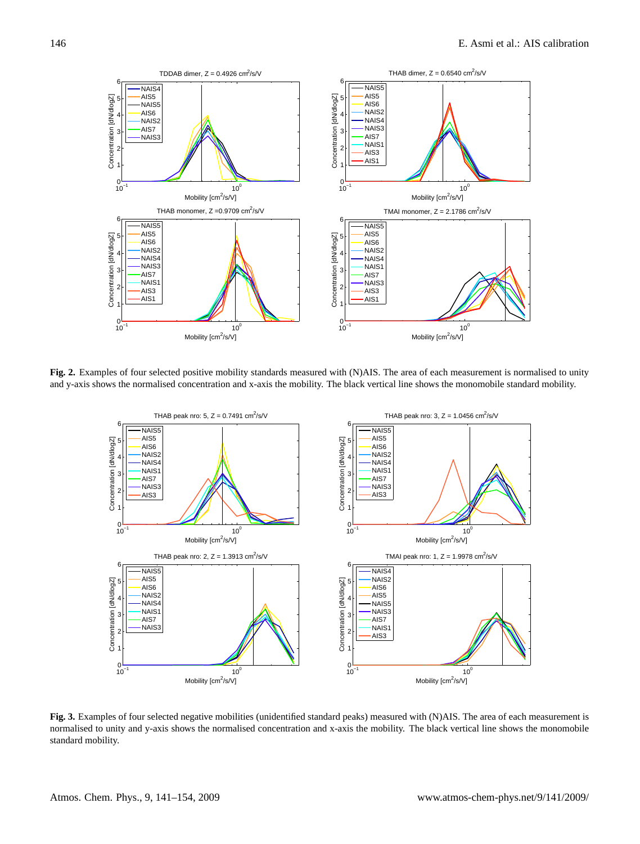

<span id="page-5-0"></span>**Fig. 2.** Examples of four selected positive mobility standards measured with (N)AIS. The area of each measurement is normalised to unity and y-axis shows the normalised concentration and x-axis the mobility. The black vertical line shows the monomobile standard mobility.



<span id="page-5-1"></span>**Fig. 3.** Examples of four selected negative mobilities (unidentified standard peaks) measured with (N)AIS. The area of each measurement is normalised to unity and y-axis shows the normalised concentration and x-axis the mobility. The black vertical line shows the monomobile standard mobility.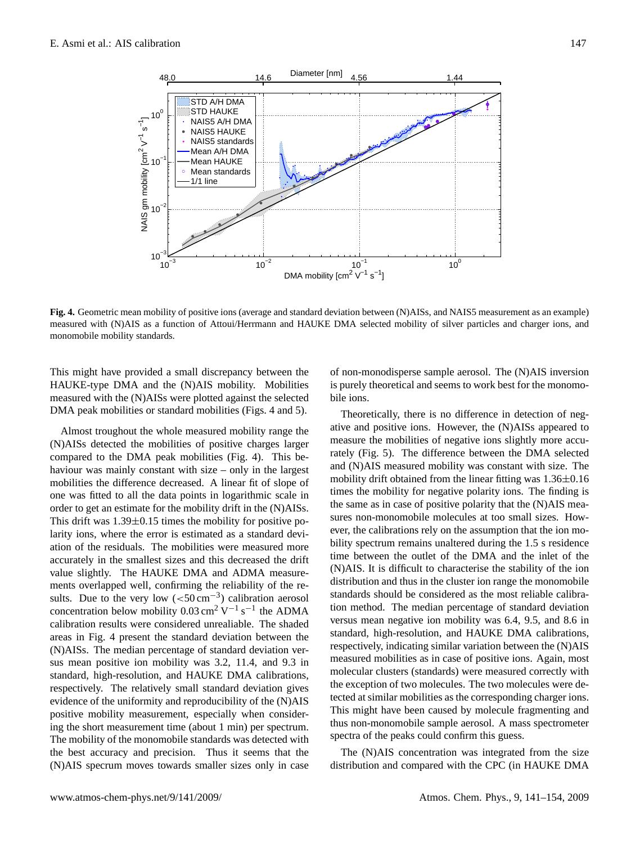

<span id="page-6-0"></span>**Fig. 4.** Geometric mean mobility of positive ions (average and standard deviation between (N)AISs, and NAIS5 measurement as an example) measured with (N)AIS as a function of Attoui/Herrmann and HAUKE DMA selected mobility of silver particles and charger ions, and monomobile mobility standards.

This might have provided a small discrepancy between the HAUKE-type DMA and the (N)AIS mobility. Mobilities measured with the (N)AISs were plotted against the selected DMA peak mobilities or standard mobilities (Figs. [4](#page-6-0) and [5\)](#page-7-0).

Almost troughout the whole measured mobility range the (N)AISs detected the mobilities of positive charges larger compared to the DMA peak mobilities (Fig. [4\)](#page-6-0). This behaviour was mainly constant with size – only in the largest mobilities the difference decreased. A linear fit of slope of one was fitted to all the data points in logarithmic scale in order to get an estimate for the mobility drift in the (N)AISs. This drift was  $1.39\pm0.15$  times the mobility for positive polarity ions, where the error is estimated as a standard deviation of the residuals. The mobilities were measured more accurately in the smallest sizes and this decreased the drift value slightly. The HAUKE DMA and ADMA measurements overlapped well, confirming the reliability of the results. Due to the very low  $(<50 \text{ cm}^{-3})$  calibration aerosol concentration below mobility  $0.03 \text{ cm}^2 \text{ V}^{-1} \text{ s}^{-1}$  the ADMA calibration results were considered unrealiable. The shaded areas in Fig. [4](#page-6-0) present the standard deviation between the (N)AISs. The median percentage of standard deviation versus mean positive ion mobility was 3.2, 11.4, and 9.3 in standard, high-resolution, and HAUKE DMA calibrations, respectively. The relatively small standard deviation gives evidence of the uniformity and reproducibility of the (N)AIS positive mobility measurement, especially when considering the short measurement time (about 1 min) per spectrum. The mobility of the monomobile standards was detected with the best accuracy and precision. Thus it seems that the (N)AIS specrum moves towards smaller sizes only in case of non-monodisperse sample aerosol. The (N)AIS inversion is purely theoretical and seems to work best for the monomobile ions.

Theoretically, there is no difference in detection of negative and positive ions. However, the (N)AISs appeared to measure the mobilities of negative ions slightly more accurately (Fig. [5\)](#page-7-0). The difference between the DMA selected and (N)AIS measured mobility was constant with size. The mobility drift obtained from the linear fitting was 1.36±0.16 times the mobility for negative polarity ions. The finding is the same as in case of positive polarity that the (N)AIS measures non-monomobile molecules at too small sizes. However, the calibrations rely on the assumption that the ion mobility spectrum remains unaltered during the 1.5 s residence time between the outlet of the DMA and the inlet of the (N)AIS. It is difficult to characterise the stability of the ion distribution and thus in the cluster ion range the monomobile standards should be considered as the most reliable calibration method. The median percentage of standard deviation versus mean negative ion mobility was 6.4, 9.5, and 8.6 in standard, high-resolution, and HAUKE DMA calibrations, respectively, indicating similar variation between the (N)AIS measured mobilities as in case of positive ions. Again, most molecular clusters (standards) were measured correctly with the exception of two molecules. The two molecules were detected at similar mobilities as the corresponding charger ions. This might have been caused by molecule fragmenting and thus non-monomobile sample aerosol. A mass spectrometer spectra of the peaks could confirm this guess.

The (N)AIS concentration was integrated from the size distribution and compared with the CPC (in HAUKE DMA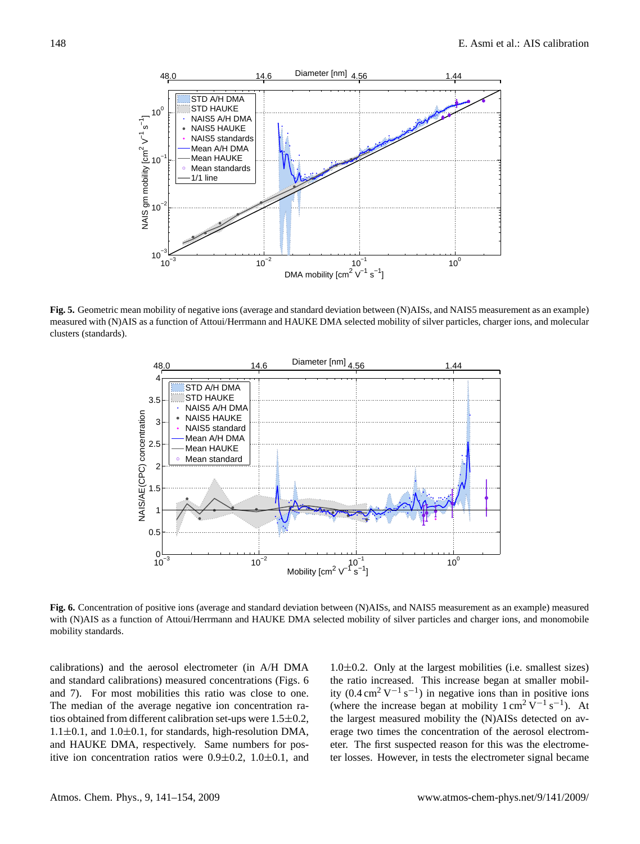

<span id="page-7-0"></span>**Fig. 5.** Geometric mean mobility of negative ions (average and standard deviation between (N)AISs, and NAIS5 measurement as an example) measured with (N)AIS as a function of Attoui/Herrmann and HAUKE DMA selected mobility of silver particles, charger ions, and molecular clusters (standards).



<span id="page-7-1"></span>**Fig. 6.** Concentration of positive ions (average and standard deviation between (N)AISs, and NAIS5 measurement as an example) measured with (N)AIS as a function of Attoui/Herrmann and HAUKE DMA selected mobility of silver particles and charger ions, and monomobile mobility standards.

calibrations) and the aerosol electrometer (in A/H DMA and standard calibrations) measured concentrations (Figs. [6](#page-7-1) and [7\)](#page-8-0). For most mobilities this ratio was close to one. The median of the average negative ion concentration ratios obtained from different calibration set-ups were 1.5±0.2, 1.1±0.1, and 1.0±0.1, for standards, high-resolution DMA, and HAUKE DMA, respectively. Same numbers for positive ion concentration ratios were  $0.9 \pm 0.2$ ,  $1.0 \pm 0.1$ , and

1.0±0.2. Only at the largest mobilities (i.e. smallest sizes) the ratio increased. This increase began at smaller mobility  $(0.4 \text{ cm}^2 \text{ V}^{-1} \text{ s}^{-1})$  in negative ions than in positive ions (where the increase began at mobility  $1 \text{ cm}^2 \text{ V}^{-1} \text{ s}^{-1}$ ). At the largest measured mobility the (N)AISs detected on average two times the concentration of the aerosol electrometer. The first suspected reason for this was the electrometer losses. However, in tests the electrometer signal became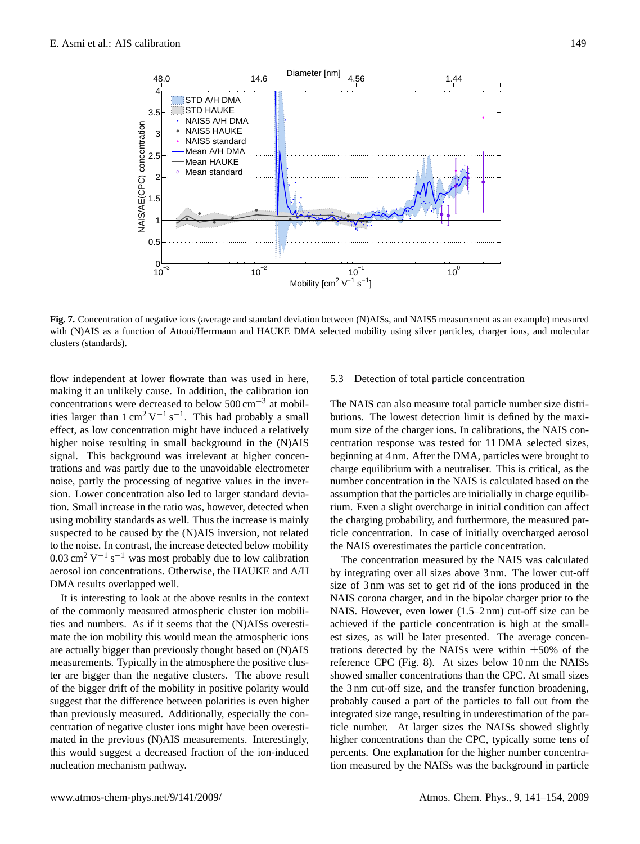

<span id="page-8-0"></span>**Fig. 7.** Concentration of negative ions (average and standard deviation between (N)AISs, and NAIS5 measurement as an example) measured with (N)AIS as a function of Attoui/Herrmann and HAUKE DMA selected mobility using silver particles, charger ions, and molecular clusters (standards).

flow independent at lower flowrate than was used in here, making it an unlikely cause. In addition, the calibration ion concentrations were decreased to below  $500 \text{ cm}^{-3}$  at mobilities larger than  $1 \text{ cm}^2 \text{ V}^{-1} \text{ s}^{-1}$ . This had probably a small effect, as low concentration might have induced a relatively higher noise resulting in small background in the (N)AIS signal. This background was irrelevant at higher concentrations and was partly due to the unavoidable electrometer noise, partly the processing of negative values in the inversion. Lower concentration also led to larger standard deviation. Small increase in the ratio was, however, detected when using mobility standards as well. Thus the increase is mainly suspected to be caused by the (N)AIS inversion, not related to the noise. In contrast, the increase detected below mobility  $0.03 \text{ cm}^2 \text{ V}^{-1} \text{ s}^{-1}$  was most probably due to low calibration aerosol ion concentrations. Otherwise, the HAUKE and A/H DMA results overlapped well.

It is interesting to look at the above results in the context of the commonly measured atmospheric cluster ion mobilities and numbers. As if it seems that the (N)AISs overestimate the ion mobility this would mean the atmospheric ions are actually bigger than previously thought based on (N)AIS measurements. Typically in the atmosphere the positive cluster are bigger than the negative clusters. The above result of the bigger drift of the mobility in positive polarity would suggest that the difference between polarities is even higher than previously measured. Additionally, especially the concentration of negative cluster ions might have been overestimated in the previous (N)AIS measurements. Interestingly, this would suggest a decreased fraction of the ion-induced nucleation mechanism pathway.

## 5.3 Detection of total particle concentration

The NAIS can also measure total particle number size distributions. The lowest detection limit is defined by the maximum size of the charger ions. In calibrations, the NAIS concentration response was tested for 11 DMA selected sizes, beginning at 4 nm. After the DMA, particles were brought to charge equilibrium with a neutraliser. This is critical, as the number concentration in the NAIS is calculated based on the assumption that the particles are initialially in charge equilibrium. Even a slight overcharge in initial condition can affect the charging probability, and furthermore, the measured particle concentration. In case of initially overcharged aerosol the NAIS overestimates the particle concentration.

The concentration measured by the NAIS was calculated by integrating over all sizes above 3 nm. The lower cut-off size of 3 nm was set to get rid of the ions produced in the NAIS corona charger, and in the bipolar charger prior to the NAIS. However, even lower (1.5–2 nm) cut-off size can be achieved if the particle concentration is high at the smallest sizes, as will be later presented. The average concentrations detected by the NAISs were within  $\pm 50\%$  of the reference CPC (Fig. [8\)](#page-9-0). At sizes below 10 nm the NAISs showed smaller concentrations than the CPC. At small sizes the 3 nm cut-off size, and the transfer function broadening, probably caused a part of the particles to fall out from the integrated size range, resulting in underestimation of the particle number. At larger sizes the NAISs showed slightly higher concentrations than the CPC, typically some tens of percents. One explanation for the higher number concentration measured by the NAISs was the background in particle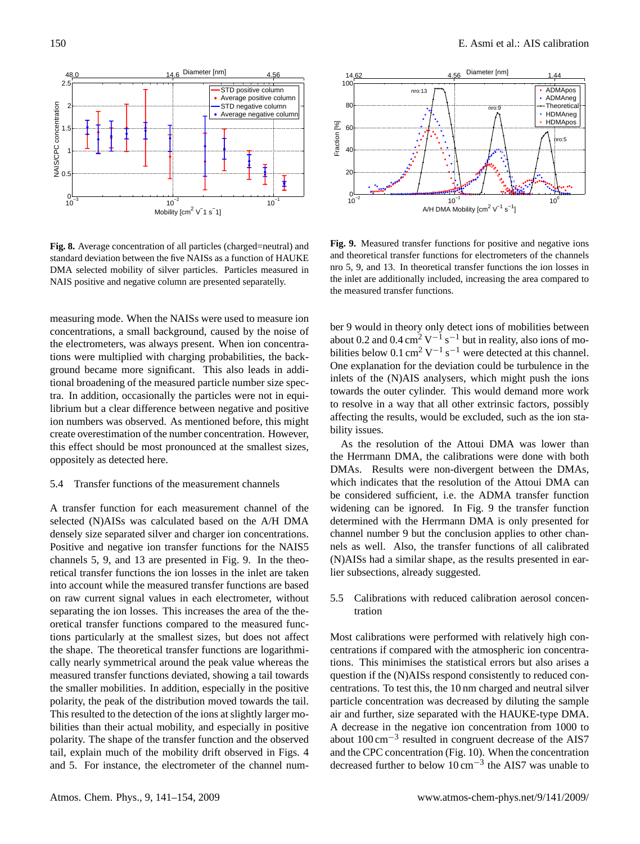Average positive colum NAIS/CPC concentration STD negative column NAIS/CPC concentration 2 Average negative colum 1.5 1  $\Omega$  $10^{-3}$  10<sup>-2</sup> 10<sup>-2</sup> 10<sup>-1</sup> Mobility [cm<sup>2</sup> V<sup>−</sup>1 s<sup>−</sup>1]

48.0 14.6 Diameter [nm] 4.56

STD positive column

<span id="page-9-0"></span>**Fig. 8.** Average concentration of all particles (charged=neutral) and standard deviation between the five NAISs as a function of HAUKE DMA selected mobility of silver particles. Particles measured in NAIS positive and negative column are presented separatelly.

measuring mode. When the NAISs were used to measure ion concentrations, a small background, caused by the noise of the electrometers, was always present. When ion concentrations were multiplied with charging probabilities, the background became more significant. This also leads in additional broadening of the measured particle number size spectra. In addition, occasionally the particles were not in equilibrium but a clear difference between negative and positive ion numbers was observed. As mentioned before, this might create overestimation of the number concentration. However, this effect should be most pronounced at the smallest sizes, oppositely as detected here.

## 5.4 Transfer functions of the measurement channels

A transfer function for each measurement channel of the selected (N)AISs was calculated based on the A/H DMA densely size separated silver and charger ion concentrations. Positive and negative ion transfer functions for the NAIS5 channels 5, 9, and 13 are presented in Fig. [9.](#page-9-1) In the theoretical transfer functions the ion losses in the inlet are taken into account while the measured transfer functions are based on raw current signal values in each electrometer, without separating the ion losses. This increases the area of the theoretical transfer functions compared to the measured functions particularly at the smallest sizes, but does not affect the shape. The theoretical transfer functions are logarithmically nearly symmetrical around the peak value whereas the measured transfer functions deviated, showing a tail towards the smaller mobilities. In addition, especially in the positive polarity, the peak of the distribution moved towards the tail. This resulted to the detection of the ions at slightly larger mobilities than their actual mobility, and especially in positive polarity. The shape of the transfer function and the observed tail, explain much of the mobility drift observed in Figs. [4](#page-6-0)  $\frac{6}{54}$ <br> **Fig. 8.**  $\frac{6}{54}$ <br> **Fig. 8.** Awarene concernation of all particles (sharped variatio) and **Fig.** 9. Measured transfor functions for pointive and num-<br> **Fig. 8.** Awarene concernation of all particles. Part



<span id="page-9-1"></span>**Fig. 9.** Measured transfer functions for positive and negative ions and theoretical transfer functions for electrometers of the channels nro 5, 9, and 13. In theoretical transfer functions the ion losses in the inlet are additionally included, increasing the area compared to the measured transfer functions.

ber 9 would in theory only detect ions of mobilities between about 0.2 and 0.4 cm<sup>2</sup> V<sup>-1</sup> s<sup>-1</sup> but in reality, also ions of mobilities below 0.1 cm<sup>2</sup> V<sup>-1</sup> s<sup>-1</sup> were detected at this channel. One explanation for the deviation could be turbulence in the inlets of the (N)AIS analysers, which might push the ions towards the outer cylinder. This would demand more work to resolve in a way that all other extrinsic factors, possibly affecting the results, would be excluded, such as the ion stability issues.

As the resolution of the Attoui DMA was lower than the Herrmann DMA, the calibrations were done with both DMAs. Results were non-divergent between the DMAs, which indicates that the resolution of the Attoui DMA can be considered sufficient, i.e. the ADMA transfer function widening can be ignored. In Fig. [9](#page-9-1) the transfer function determined with the Herrmann DMA is only presented for channel number 9 but the conclusion applies to other channels as well. Also, the transfer functions of all calibrated (N)AISs had a similar shape, as the results presented in earlier subsections, already suggested.

5.5 Calibrations with reduced calibration aerosol concentration

Most calibrations were performed with relatively high concentrations if compared with the atmospheric ion concentrations. This minimises the statistical errors but also arises a question if the (N)AISs respond consistently to reduced concentrations. To test this, the 10 nm charged and neutral silver particle concentration was decreased by diluting the sample air and further, size separated with the HAUKE-type DMA. A decrease in the negative ion concentration from 1000 to about 100 cm−<sup>3</sup> resulted in congruent decrease of the AIS7 and the CPC concentration (Fig. [10\)](#page-10-0). When the concentration decreased further to below 10 cm−<sup>3</sup> the AIS7 was unable to

 $\mathfrak{p}$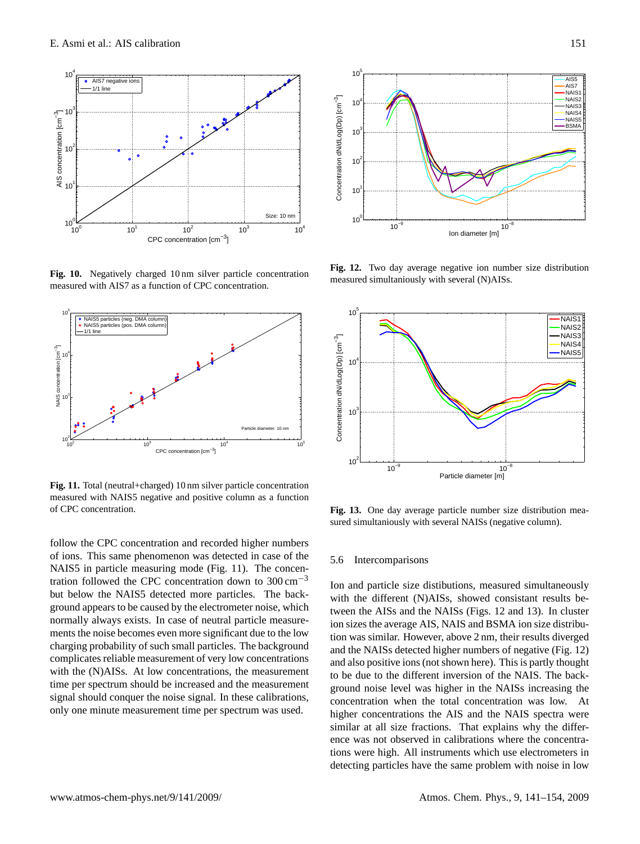

<span id="page-10-0"></span>**Fig. 10.** Negatively charged 10 nm silver particle concentration measured with AIS7 as a function of CPC concentration.



<span id="page-10-1"></span>**Fig. 11.** Total (neutral+charged) 10 nm silver particle concentration measured with NAIS5 negative and positive column as a function of CPC concentration.

follow the CPC concentration and recorded higher numbers of ions. This same phenomenon was detected in case of the NAIS5 in particle measuring mode (Fig. [11\)](#page-10-1). The concentration followed the CPC concentration down to  $300 \text{ cm}^{-3}$ but below the NAIS5 detected more particles. The background appears to be caused by the electrometer noise, which normally always exists. In case of neutral particle measurements the noise becomes even more significant due to the low charging probability of such small particles. The background complicates reliable measurement of very low concentrations with the (N)AISs. At low concentrations, the measurement time per spectrum should be increased and the measurement signal should conquer the noise signal. In these calibrations, only one minute measurement time per spectrum was used.



<span id="page-10-2"></span>**Fig. 12.** Two day average negative ion number size distribution measured simultaniously with several (N)AISs.



<span id="page-10-3"></span>**Fig. 13.** One day average particle number size distribution measured simultaniously with several NAISs (negative column).

## 5.6 Intercomparisons

Ion and particle size distibutions, measured simultaneously with the different (N)AISs, showed consistant results between the AISs and the NAISs (Figs. [12](#page-10-2) and [13\)](#page-10-3). In cluster ion sizes the average AIS, NAIS and BSMA ion size distribution was similar. However, above 2 nm, their results diverged and the NAISs detected higher numbers of negative (Fig. [12\)](#page-10-2) and also positive ions (not shown here). This is partly thought to be due to the different inversion of the NAIS. The background noise level was higher in the NAISs increasing the concentration when the total concentration was low. At higher concentrations the AIS and the NAIS spectra were similar at all size fractions. That explains why the difference was not observed in calibrations where the concentrations were high. All instruments which use electrometers in detecting particles have the same problem with noise in low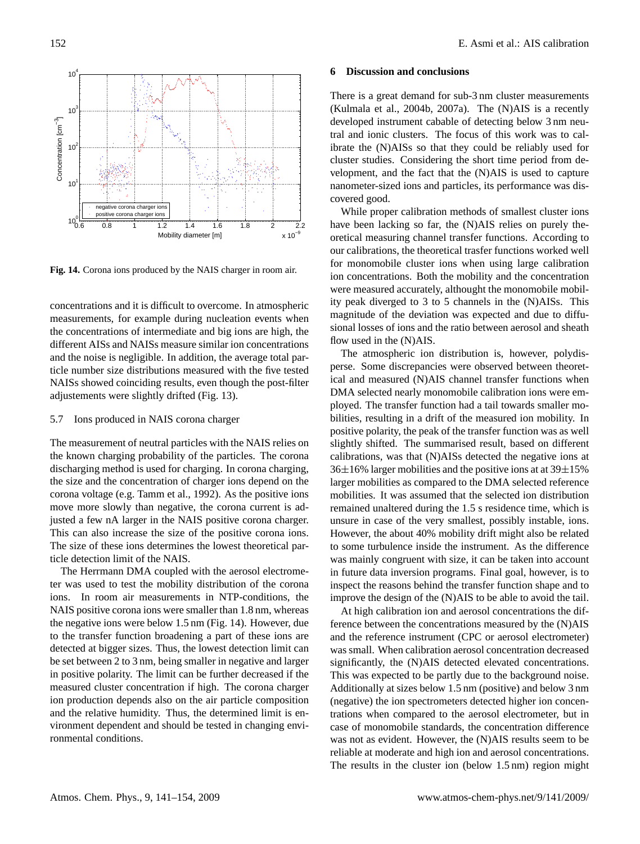

<span id="page-11-0"></span>**Fig. 14.** Corona ions produced by the NAIS charger in room air.

concentrations and it is difficult to overcome. In atmospheric measurements, for example during nucleation events when the concentrations of intermediate and big ions are high, the different AISs and NAISs measure similar ion concentrations and the noise is negligible. In addition, the average total particle number size distributions measured with the five tested NAISs showed coinciding results, even though the post-filter adjustements were slightly drifted (Fig. [13\)](#page-10-3).

#### 5.7 Ions produced in NAIS corona charger

The measurement of neutral particles with the NAIS relies on the known charging probability of the particles. The corona discharging method is used for charging. In corona charging, the size and the concentration of charger ions depend on the corona voltage (e.g. [Tamm et al.,](#page-13-18) [1992\)](#page-13-18). As the positive ions move more slowly than negative, the corona current is adjusted a few nA larger in the NAIS positive corona charger. This can also increase the size of the positive corona ions. The size of these ions determines the lowest theoretical particle detection limit of the NAIS.

The Herrmann DMA coupled with the aerosol electrometer was used to test the mobility distribution of the corona ions. In room air measurements in NTP-conditions, the NAIS positive corona ions were smaller than 1.8 nm, whereas the negative ions were below 1.5 nm (Fig. [14\)](#page-11-0). However, due to the transfer function broadening a part of these ions are detected at bigger sizes. Thus, the lowest detection limit can be set between 2 to 3 nm, being smaller in negative and larger in positive polarity. The limit can be further decreased if the measured cluster concentration if high. The corona charger ion production depends also on the air particle composition and the relative humidity. Thus, the determined limit is environment dependent and should be tested in changing environmental conditions.

## **6 Discussion and conclusions**

There is a great demand for sub-3 nm cluster measurements [\(Kulmala et al.,](#page-12-3) [2004b,](#page-12-3) [2007a\)](#page-12-5). The (N)AIS is a recently developed instrument cabable of detecting below 3 nm neutral and ionic clusters. The focus of this work was to calibrate the (N)AISs so that they could be reliably used for cluster studies. Considering the short time period from development, and the fact that the (N)AIS is used to capture nanometer-sized ions and particles, its performance was discovered good.

While proper calibration methods of smallest cluster ions have been lacking so far, the (N)AIS relies on purely theoretical measuring channel transfer functions. According to our calibrations, the theoretical trasfer functions worked well for monomobile cluster ions when using large calibration ion concentrations. Both the mobility and the concentration were measured accurately, althought the monomobile mobility peak diverged to 3 to 5 channels in the (N)AISs. This magnitude of the deviation was expected and due to diffusional losses of ions and the ratio between aerosol and sheath flow used in the (N)AIS.

The atmospheric ion distribution is, however, polydisperse. Some discrepancies were observed between theoretical and measured (N)AIS channel transfer functions when DMA selected nearly monomobile calibration ions were employed. The transfer function had a tail towards smaller mobilities, resulting in a drift of the measured ion mobility. In positive polarity, the peak of the transfer function was as well slightly shifted. The summarised result, based on different calibrations, was that (N)AISs detected the negative ions at  $36\pm16\%$  larger mobilities and the positive ions at at  $39\pm15\%$ larger mobilities as compared to the DMA selected reference mobilities. It was assumed that the selected ion distribution remained unaltered during the 1.5 s residence time, which is unsure in case of the very smallest, possibly instable, ions. However, the about 40% mobility drift might also be related to some turbulence inside the instrument. As the difference was mainly congruent with size, it can be taken into account in future data inversion programs. Final goal, however, is to inspect the reasons behind the transfer function shape and to improve the design of the (N)AIS to be able to avoid the tail.

At high calibration ion and aerosol concentrations the difference between the concentrations measured by the (N)AIS and the reference instrument (CPC or aerosol electrometer) was small. When calibration aerosol concentration decreased significantly, the (N)AIS detected elevated concentrations. This was expected to be partly due to the background noise. Additionally at sizes below 1.5 nm (positive) and below 3 nm (negative) the ion spectrometers detected higher ion concentrations when compared to the aerosol electrometer, but in case of monomobile standards, the concentration difference was not as evident. However, the (N)AIS results seem to be reliable at moderate and high ion and aerosol concentrations. The results in the cluster ion (below 1.5 nm) region might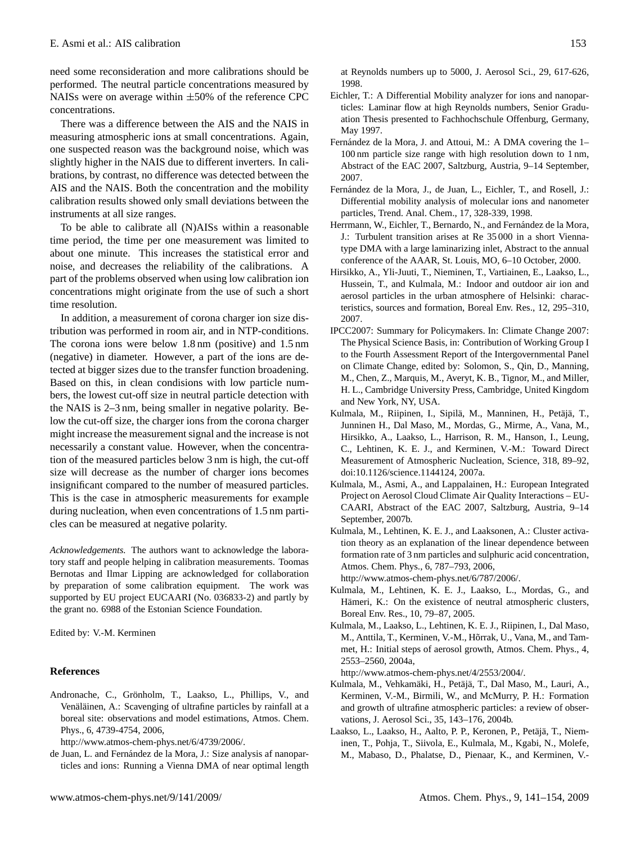need some reconsideration and more calibrations should be performed. The neutral particle concentrations measured by NAISs were on average within  $\pm 50\%$  of the reference CPC concentrations.

There was a difference between the AIS and the NAIS in measuring atmospheric ions at small concentrations. Again, one suspected reason was the background noise, which was slightly higher in the NAIS due to different inverters. In calibrations, by contrast, no difference was detected between the AIS and the NAIS. Both the concentration and the mobility calibration results showed only small deviations between the instruments at all size ranges.

To be able to calibrate all (N)AISs within a reasonable time period, the time per one measurement was limited to about one minute. This increases the statistical error and noise, and decreases the reliability of the calibrations. A part of the problems observed when using low calibration ion concentrations might originate from the use of such a short time resolution.

In addition, a measurement of corona charger ion size distribution was performed in room air, and in NTP-conditions. The corona ions were below 1.8 nm (positive) and 1.5 nm (negative) in diameter. However, a part of the ions are detected at bigger sizes due to the transfer function broadening. Based on this, in clean condisions with low particle numbers, the lowest cut-off size in neutral particle detection with the NAIS is 2–3 nm, being smaller in negative polarity. Below the cut-off size, the charger ions from the corona charger might increase the measurement signal and the increase is not necessarily a constant value. However, when the concentration of the measured particles below 3 nm is high, the cut-off size will decrease as the number of charger ions becomes insignificant compared to the number of measured particles. This is the case in atmospheric measurements for example during nucleation, when even concentrations of 1.5 nm particles can be measured at negative polarity.

*Acknowledgements.* The authors want to acknowledge the laboratory staff and people helping in calibration measurements. Toomas Bernotas and Ilmar Lipping are acknowledged for collaboration by preparation of some calibration equipment. The work was supported by EU project EUCAARI (No. 036833-2) and partly by the grant no. 6988 of the Estonian Science Foundation.

Edited by: V.-M. Kerminen

## **References**

<span id="page-12-1"></span>Andronache, C., Grönholm, T., Laakso, L., Phillips, V., and Venäläinen, A.: Scavenging of ultrafine particles by rainfall at a boreal site: observations and model estimations, Atmos. Chem. Phys., 6, 4739-4754, 2006,

[http://www.atmos-chem-phys.net/6/4739/2006/.](http://www.atmos-chem-phys.net/6/4739/2006/)

<span id="page-12-13"></span>de Juan, L. and Fernández de la Mora, J.: Size analysis af nanoparticles and ions: Running a Vienna DMA of near optimal length at Reynolds numbers up to 5000, J. Aerosol Sci., 29, 617-626, 1998.

- <span id="page-12-12"></span>Eichler, T.: A Differential Mobility analyzer for ions and nanoparticles: Laminar flow at high Reynolds numbers, Senior Graduation Thesis presented to Fachhochschule Offenburg, Germany, May 1997.
- <span id="page-12-11"></span>Fernández de la Mora, J. and Attoui, M.: A DMA covering the 1-100 nm particle size range with high resolution down to 1 nm, Abstract of the EAC 2007, Saltzburg, Austria, 9–14 September, 2007.
- <span id="page-12-14"></span>Fernández de la Mora, J., de Juan, L., Eichler, T., and Rosell, J.: Differential mobility analysis of molecular ions and nanometer particles, Trend. Anal. Chem., 17, 328-339, 1998.
- <span id="page-12-10"></span>Herrmann, W., Eichler, T., Bernardo, N., and Fernández de la Mora, J.: Turbulent transition arises at Re 35 000 in a short Viennatype DMA with a large laminarizing inlet, Abstract to the annual conference of the AAAR, St. Louis, MO, 6–10 October, 2000.
- <span id="page-12-8"></span>Hirsikko, A., Yli-Juuti, T., Nieminen, T., Vartiainen, E., Laakso, L., Hussein, T., and Kulmala, M.: Indoor and outdoor air ion and aerosol particles in the urban atmosphere of Helsinki: characteristics, sources and formation, Boreal Env. Res., 12, 295–310, 2007.
- <span id="page-12-2"></span>IPCC2007: Summary for Policymakers. In: Climate Change 2007: The Physical Science Basis, in: Contribution of Working Group I to the Fourth Assessment Report of the Intergovernmental Panel on Climate Change, edited by: Solomon, S., Qin, D., Manning, M., Chen, Z., Marquis, M., Averyt, K. B., Tignor, M., and Miller, H. L., Cambridge University Press, Cambridge, United Kingdom and New York, NY, USA.
- <span id="page-12-5"></span>Kulmala, M., Riipinen, I., Sipilä, M., Manninen, H., Petäjä, T., Junninen H., Dal Maso, M., Mordas, G., Mirme, A., Vana, M., Hirsikko, A., Laakso, L., Harrison, R. M., Hanson, I., Leung, C., Lehtinen, K. E. J., and Kerminen, V.-M.: Toward Direct Measurement of Atmospheric Nucleation, Science, 318, 89–92, doi:10.1126/science.1144124, 2007a.
- <span id="page-12-9"></span>Kulmala, M., Asmi, A., and Lappalainen, H.: European Integrated Project on Aerosol Cloud Climate Air Quality Interactions – EU-CAARI, Abstract of the EAC 2007, Saltzburg, Austria, 9–14 September, 2007b.
- <span id="page-12-4"></span>Kulmala, M., Lehtinen, K. E. J., and Laaksonen, A.: Cluster activation theory as an explanation of the linear dependence between formation rate of 3 nm particles and sulphuric acid concentration, Atmos. Chem. Phys., 6, 787–793, 2006,

[http://www.atmos-chem-phys.net/6/787/2006/.](http://www.atmos-chem-phys.net/6/787/2006/)

- <span id="page-12-6"></span>Kulmala, M., Lehtinen, K. E. J., Laakso, L., Mordas, G., and Hämeri, K.: On the existence of neutral atmospheric clusters, Boreal Env. Res., 10, 79–87, 2005.
- <span id="page-12-0"></span>Kulmala, M., Laakso, L., Lehtinen, K. E. J., Riipinen, I., Dal Maso, M., Anttila, T., Kerminen, V.-M., Hõrrak, U., Vana, M., and Tammet, H.: Initial steps of aerosol growth, Atmos. Chem. Phys., 4, 2553–2560, 2004a,

[http://www.atmos-chem-phys.net/4/2553/2004/.](http://www.atmos-chem-phys.net/4/2553/2004/)

- <span id="page-12-3"></span>Kulmala, M., Vehkamäki, H., Petäjä, T., Dal Maso, M., Lauri, A., Kerminen, V.-M., Birmili, W., and McMurry, P. H.: Formation and growth of ultrafine atmospheric particles: a review of observations, J. Aerosol Sci., 35, 143–176, 2004b.
- <span id="page-12-7"></span>Laakso, L., Laakso, H., Aalto, P. P., Keronen, P., Petäjä, T., Nieminen, T., Pohja, T., Siivola, E., Kulmala, M., Kgabi, N., Molefe, M., Mabaso, D., Phalatse, D., Pienaar, K., and Kerminen, V.-